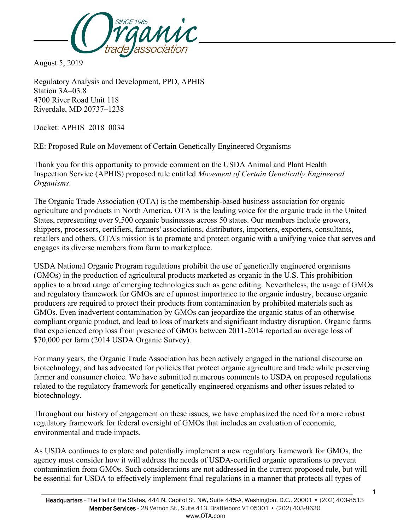

August 5, 2019

Regulatory Analysis and Development, PPD, APHIS Station 3A–03.8 4700 River Road Unit 118 Riverdale, MD 20737–1238

Docket: APHIS–2018–0034

RE: Proposed Rule on Movement of Certain Genetically Engineered Organisms

Thank you for this opportunity to provide comment on the USDA Animal and Plant Health Inspection Service (APHIS) proposed rule entitled *Movement of Certain Genetically Engineered Organisms*.

The Organic Trade Association (OTA) is the membership-based business association for organic agriculture and products in North America. OTA is the leading voice for the organic trade in the United States, representing over 9,500 organic businesses across 50 states. Our members include growers, shippers, processors, certifiers, farmers' associations, distributors, importers, exporters, consultants, retailers and others. OTA's mission is to promote and protect organic with a unifying voice that serves and engages its diverse members from farm to marketplace.

USDA National Organic Program regulations prohibit the use of genetically engineered organisms (GMOs) in the production of agricultural products marketed as organic in the U.S. This prohibition applies to a broad range of emerging technologies such as gene editing. Nevertheless, the usage of GMOs and regulatory framework for GMOs are of upmost importance to the organic industry, because organic producers are required to protect their products from contamination by prohibited materials such as GMOs. Even inadvertent contamination by GMOs can jeopardize the organic status of an otherwise compliant organic product, and lead to loss of markets and significant industry disruption. Organic farms that experienced crop loss from presence of GMOs between 2011-2014 reported an average loss of \$70,000 per farm (2014 USDA Organic Survey).

For many years, the Organic Trade Association has been actively engaged in the national discourse on biotechnology, and has advocated for policies that protect organic agriculture and trade while preserving farmer and consumer choice. We have submitted numerous comments to USDA on proposed regulations related to the regulatory framework for genetically engineered organisms and other issues related to biotechnology.

Throughout our history of engagement on these issues, we have emphasized the need for a more robust regulatory framework for federal oversight of GMOs that includes an evaluation of economic, environmental and trade impacts.

As USDA continues to explore and potentially implement a new regulatory framework for GMOs, the agency must consider how it will address the needs of USDA-certified organic operations to prevent contamination from GMOs. Such considerations are not addressed in the current proposed rule, but will be essential for USDA to effectively implement final regulations in a manner that protects all types of

1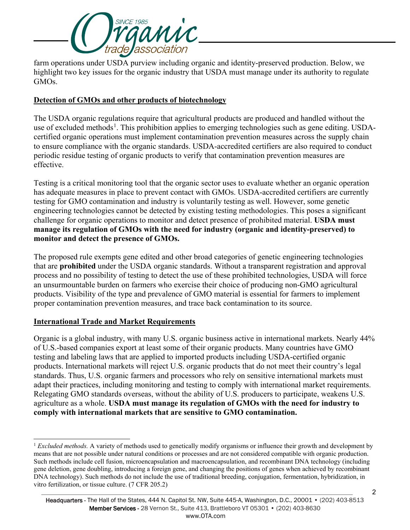

farm operations under USDA purview including organic and identity-preserved production. Below, we highlight two key issues for the organic industry that USDA must manage under its authority to regulate GMOs.

## **Detection of GMOs and other products of biotechnology**

The USDA organic regulations require that agricultural products are produced and handled without the use of excluded methods<sup>[1](#page-1-0)</sup>. This prohibition applies to emerging technologies such as gene editing. USDAcertified organic operations must implement contamination prevention measures across the supply chain to ensure compliance with the organic standards. USDA-accredited certifiers are also required to conduct periodic residue testing of organic products to verify that contamination prevention measures are effective.

Testing is a critical monitoring tool that the organic sector uses to evaluate whether an organic operation has adequate measures in place to prevent contact with GMOs. USDA-accredited certifiers are currently testing for GMO contamination and industry is voluntarily testing as well. However, some genetic engineering technologies cannot be detected by existing testing methodologies. This poses a significant challenge for organic operations to monitor and detect presence of prohibited material. **USDA must manage its regulation of GMOs with the need for industry (organic and identity-preserved) to monitor and detect the presence of GMOs.**

The proposed rule exempts gene edited and other broad categories of genetic engineering technologies that are **prohibited** under the USDA organic standards. Without a transparent registration and approval process and no possibility of testing to detect the use of these prohibited technologies, USDA will force an unsurmountable burden on farmers who exercise their choice of producing non-GMO agricultural products. Visibility of the type and prevalence of GMO material is essential for farmers to implement proper contamination prevention measures, and trace back contamination to its source.

## **International Trade and Market Requirements**

Organic is a global industry, with many U.S. organic business active in international markets. Nearly 44% of U.S.-based companies export at least some of their organic products. Many countries have GMO testing and labeling laws that are applied to imported products including USDA-certified organic products. International markets will reject U.S. organic products that do not meet their country's legal standards. Thus, U.S. organic farmers and processors who rely on sensitive international markets must adapt their practices, including monitoring and testing to comply with international market requirements. Relegating GMO standards overseas, without the ability of U.S. producers to participate, weakens U.S. agriculture as a whole. **USDA must manage its regulation of GMOs with the need for industry to comply with international markets that are sensitive to GMO contamination.**

<span id="page-1-0"></span><sup>-</sup><sup>1</sup> *Excluded methods.* A variety of methods used to genetically modify organisms or influence their growth and development by means that are not possible under natural conditions or processes and are not considered compatible with organic production. Such methods include cell fusion, microencapsulation and macroencapsulation, and recombinant DNA technology (including gene deletion, gene doubling, introducing a foreign gene, and changing the positions of genes when achieved by recombinant DNA technology). Such methods do not include the use of traditional breeding, conjugation, fermentation, hybridization, in vitro fertilization, or tissue culture. (7 CFR 205.2)